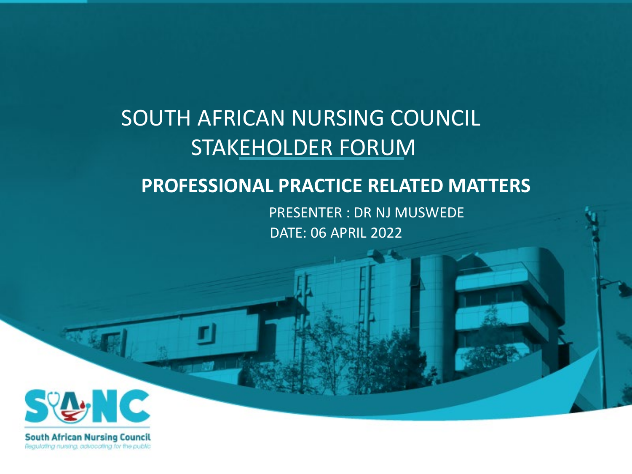## SOUTH AFRICAN NURSING COUNCIL STAKEHOLDER FORUM

#### **PROFESSIONAL PRACTICE RELATED MATTERS**

PRESENTER : DR NJ MUSWEDE DATE: 06 APRIL 2022



Regulating nursing, advocating for the public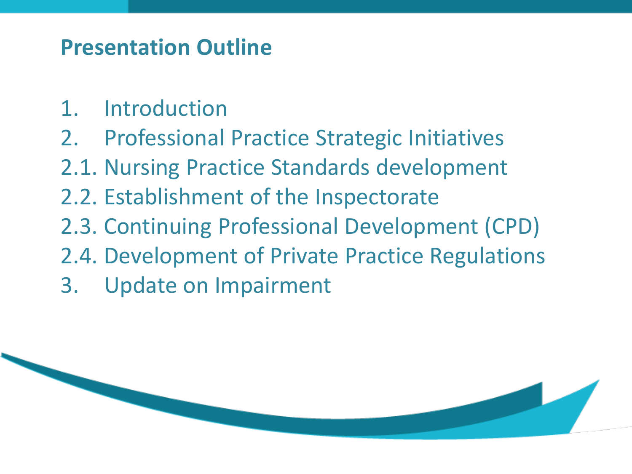## **Presentation Outline**

- 1. Introduction
- 2. Professional Practice Strategic Initiatives
- 2.1. Nursing Practice Standards development
- 2.2. Establishment of the Inspectorate
- 2.3. Continuing Professional Development (CPD)
- 2.4. Development of Private Practice Regulations
- 3. Update on Impairment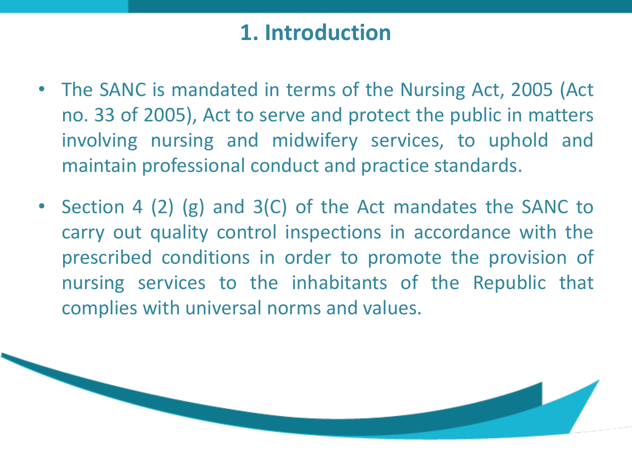## **1. Introduction**

- The SANC is mandated in terms of the Nursing Act, 2005 (Act no. 33 of 2005), Act to serve and protect the public in matters involving nursing and midwifery services, to uphold and maintain professional conduct and practice standards.
- Section 4 (2) (g) and 3(C) of the Act mandates the SANC to carry out quality control inspections in accordance with the prescribed conditions in order to promote the provision of nursing services to the inhabitants of the Republic that complies with universal norms and values.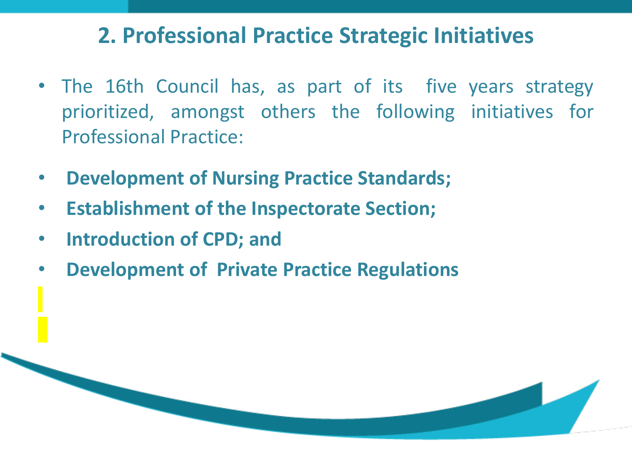#### **2. Professional Practice Strategic Initiatives**

- The 16th Council has, as part of its five years strategy prioritized, amongst others the following initiatives for Professional Practice:
- **Development of Nursing Practice Standards;**
- **Establishment of the Inspectorate Section;**
- **Introduction of CPD; and**
- **Development of Private Practice Regulations**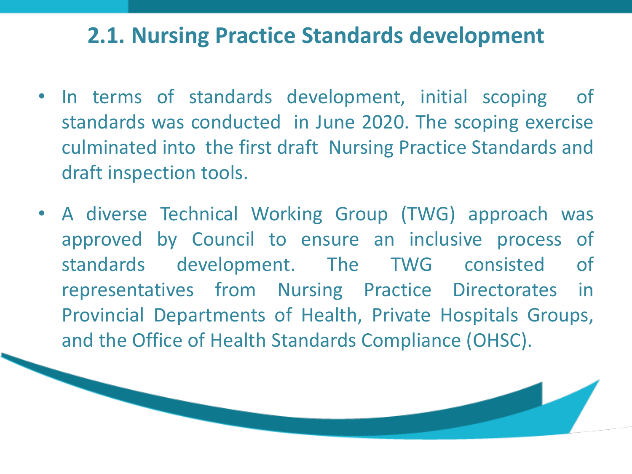#### **2.1. Nursing Practice Standards development**

- In terms of standards development, initial scoping of standards was conducted in June 2020. The scoping exercise culminated into the first draft Nursing Practice Standards and draft inspection tools.
- A diverse Technical Working Group (TWG) approach was approved by Council to ensure an inclusive process of standards development. The TWG consisted of representatives from Nursing Practice Directorates in Provincial Departments of Health, Private Hospitals Groups, and the Office of Health Standards Compliance (OHSC).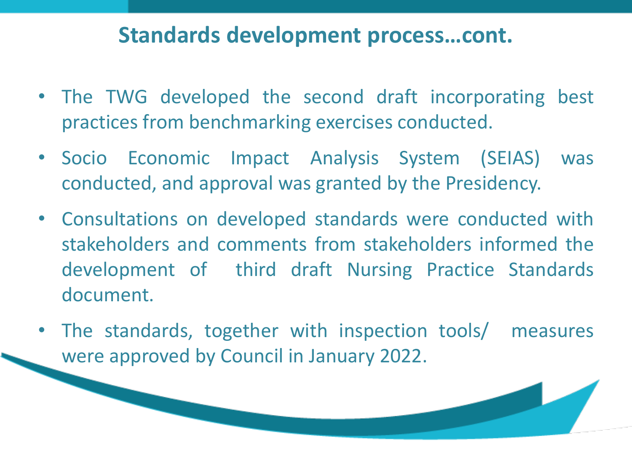#### **Standards development process…cont.**

- The TWG developed the second draft incorporating best practices from benchmarking exercises conducted.
- Socio Economic Impact Analysis System (SEIAS) was conducted, and approval was granted by the Presidency.
- Consultations on developed standards were conducted with stakeholders and comments from stakeholders informed the development of third draft Nursing Practice Standards document.
- The standards, together with inspection tools/ measures were approved by Council in January 2022.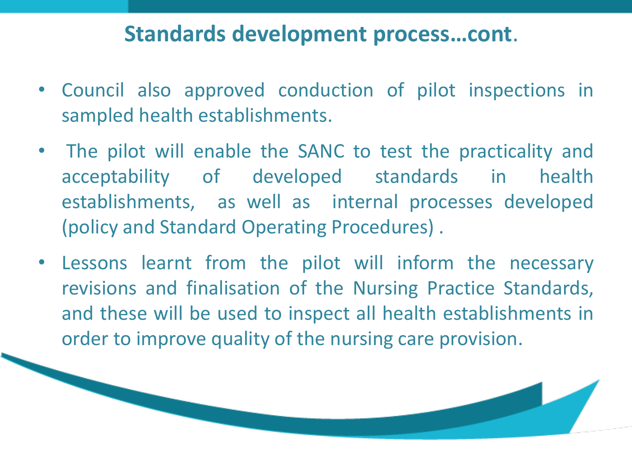#### **Standards development process…cont**.

- Council also approved conduction of pilot inspections in sampled health establishments.
- The pilot will enable the SANC to test the practicality and acceptability of developed standards in health establishments, as well as internal processes developed (policy and Standard Operating Procedures) .
- Lessons learnt from the pilot will inform the necessary revisions and finalisation of the Nursing Practice Standards, and these will be used to inspect all health establishments in order to improve quality of the nursing care provision.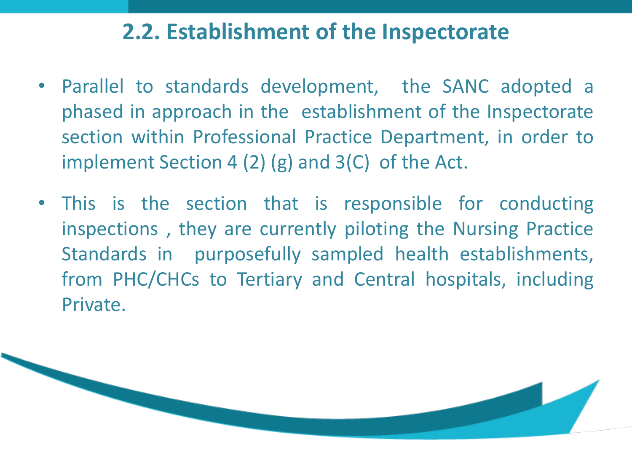## **2.2. Establishment of the Inspectorate**

- Parallel to standards development, the SANC adopted a phased in approach in the establishment of the Inspectorate section within Professional Practice Department, in order to implement Section 4 (2) (g) and 3(C) of the Act.
- This is the section that is responsible for conducting inspections , they are currently piloting the Nursing Practice Standards in purposefully sampled health establishments, from PHC/CHCs to Tertiary and Central hospitals, including Private.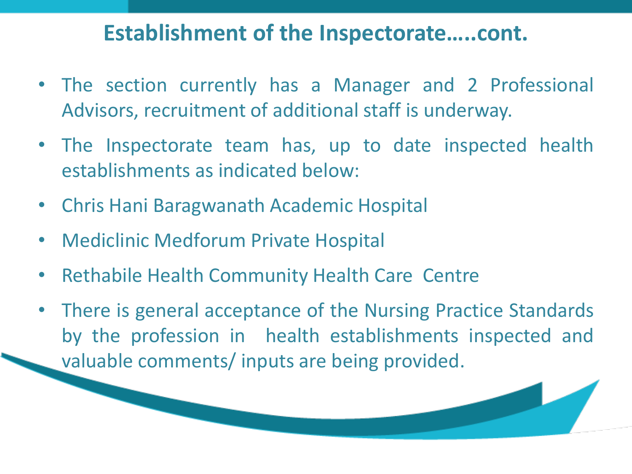#### **Establishment of the Inspectorate…..cont.**

- The section currently has a Manager and 2 Professional Advisors, recruitment of additional staff is underway.
- The Inspectorate team has, up to date inspected health establishments as indicated below:
- Chris Hani Baragwanath Academic Hospital
- Mediclinic Medforum Private Hospital
- Rethabile Health Community Health Care Centre
- There is general acceptance of the Nursing Practice Standards by the profession in health establishments inspected and valuable comments/ inputs are being provided.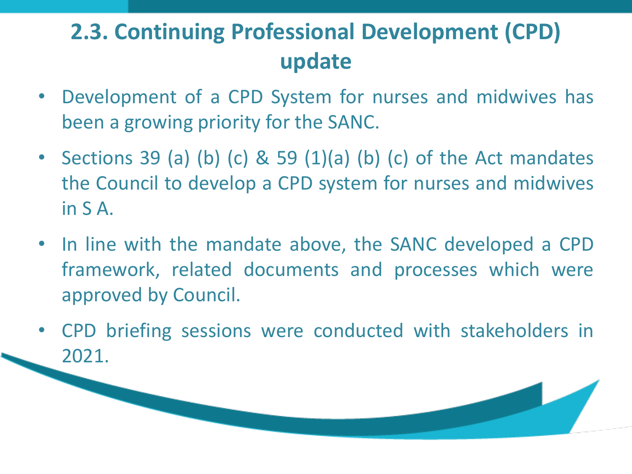# **2.3. Continuing Professional Development (CPD) update**

- Development of a CPD System for nurses and midwives has been a growing priority for the SANC.
- Sections 39 (a) (b) (c) & 59 (1)(a) (b) (c) of the Act mandates the Council to develop a CPD system for nurses and midwives in S A.
- In line with the mandate above, the SANC developed a CPD framework, related documents and processes which were approved by Council.
- CPD briefing sessions were conducted with stakeholders in 2021.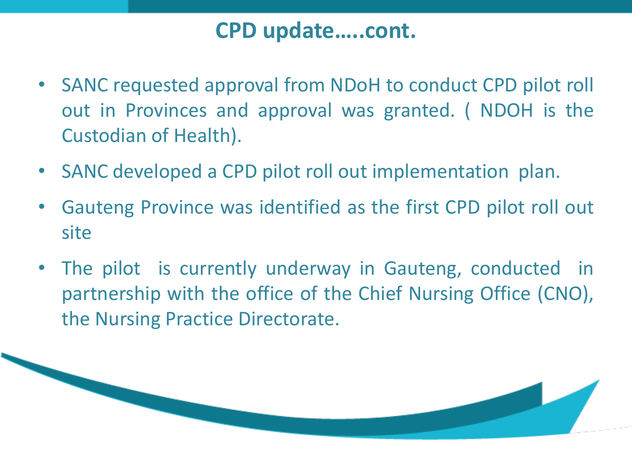#### **CPD update…..cont.**

- SANC requested approval from NDoH to conduct CPD pilot roll out in Provinces and approval was granted. ( NDOH is the Custodian of Health).
- SANC developed a CPD pilot roll out implementation plan.
- Gauteng Province was identified as the first CPD pilot roll out site
- The pilot is currently underway in Gauteng, conducted in partnership with the office of the Chief Nursing Office (CNO), the Nursing Practice Directorate.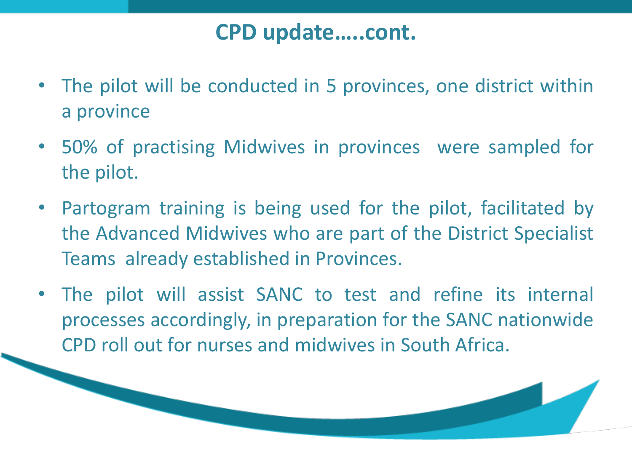### **CPD update…..cont.**

- The pilot will be conducted in 5 provinces, one district within a province
- 50% of practising Midwives in provinces were sampled for the pilot.
- Partogram training is being used for the pilot, facilitated by the Advanced Midwives who are part of the District Specialist Teams already established in Provinces.
- The pilot will assist SANC to test and refine its internal processes accordingly, in preparation for the SANC nationwide CPD roll out for nurses and midwives in South Africa.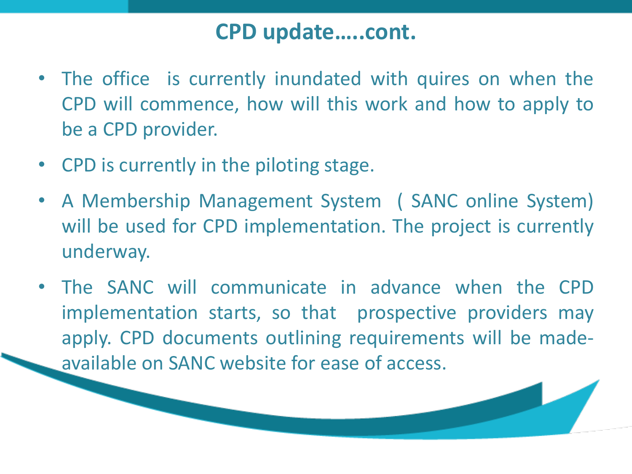#### **CPD update…..cont.**

- The office is currently inundated with quires on when the CPD will commence, how will this work and how to apply to be a CPD provider.
- CPD is currently in the piloting stage.
- A Membership Management System ( SANC online System) will be used for CPD implementation. The project is currently underway.
- The SANC will communicate in advance when the CPD implementation starts, so that prospective providers may apply. CPD documents outlining requirements will be madeavailable on SANC website for ease of access.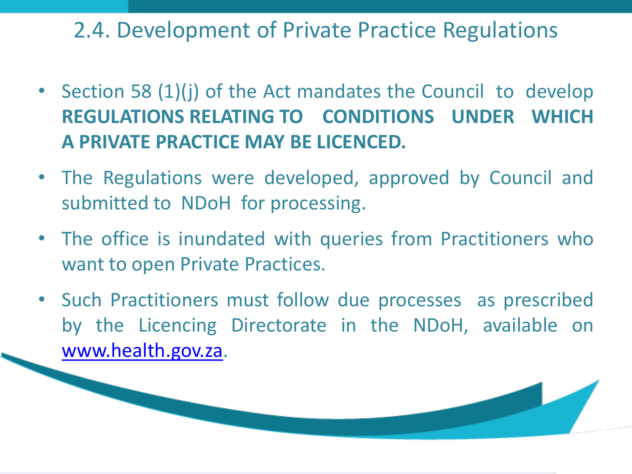2.4. Development of Private Practice Regulations

- Section 58 (1)(j) of the Act mandates the Council to develop **REGULATIONS RELATING TO CONDITIONS UNDER WHICH A PRIVATE PRACTICE MAY BE LICENCED.**
- The Regulations were developed, approved by Council and submitted to NDoH for processing.
- The office is inundated with queries from Practitioners who want to open Private Practices.
- Such Practitioners must follow due processes as prescribed by the Licencing Directorate in the NDoH, available on [www.health.gov.za](http://www.health.gov.za/).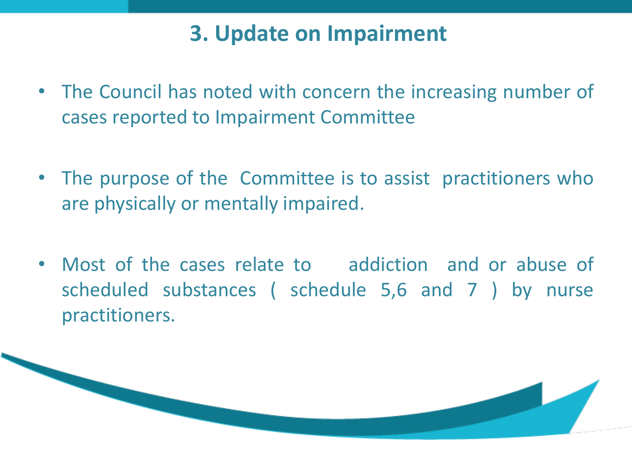## **3. Update on Impairment**

- The Council has noted with concern the increasing number of cases reported to Impairment Committee
- The purpose of the Committee is to assist practitioners who are physically or mentally impaired.
- Most of the cases relate to addiction and or abuse of scheduled substances ( schedule 5,6 and 7 ) by nurse practitioners.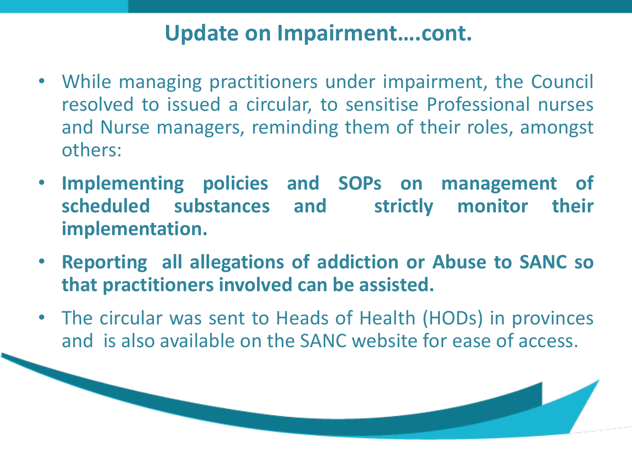### **Update on Impairment….cont.**

- While managing practitioners under impairment, the Council resolved to issued a circular, to sensitise Professional nurses and Nurse managers, reminding them of their roles, amongst others:
- **Implementing policies and SOPs on management of scheduled substances and strictly monitor their implementation.**
- **Reporting all allegations of addiction or Abuse to SANC so that practitioners involved can be assisted.**
- The circular was sent to Heads of Health (HODs) in provinces and is also available on the SANC website for ease of access.